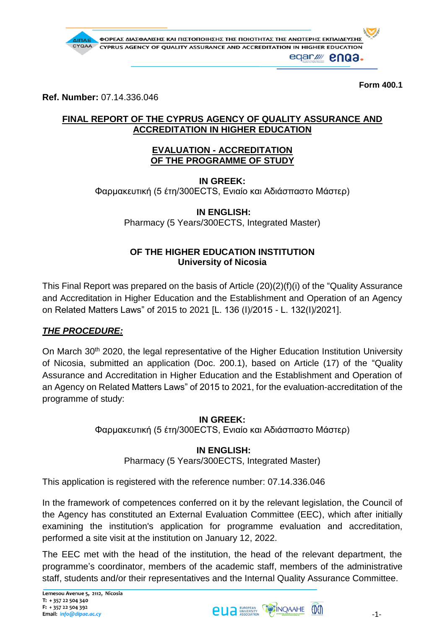

**Form 400.1**

**Ref. Number:** 07.14.336.046

## **FINAL REPORT OF THE CYPRUS AGENCY OF QUALITY ASSURANCE AND ACCREDITATION IN HIGHER EDUCATION**

### **EVALUATION - ACCREDITATION OF THE PROGRAMME OF STUDY**

**IN GREEK:** Φαρμακευτική (5 έτη/300ECTS, Ενιαίο και Αδιάσπαστο Μάστερ)

**IN ENGLISH:**

Pharmacy (5 Years/300ECTS, Integrated Master)

## **OF THE HIGHER EDUCATION INSTITUTION University of Nicosia**

This Final Report was prepared on the basis of Article (20)(2)(f)(i) of the "Quality Assurance and Accreditation in Higher Education and the Establishment and Operation of an Agency on Related Matters Laws" of 2015 to 2021 [L. 136 (Ι)/2015 - L. 132(Ι)/2021].

# *THE PROCEDURE:*

On March 30<sup>th</sup> 2020, the legal representative of the Higher Education Institution University of Nicosia, submitted an application (Doc. 200.1), based on Article (17) of the "Quality Assurance and Accreditation in Higher Education and the Establishment and Operation of an Agency on Related Matters Laws" of 2015 to 2021, for the evaluation-accreditation of the programme of study:

#### **IN GREEK:**

Φαρμακευτική (5 έτη/300ECTS, Ενιαίο και Αδιάσπαστο Μάστερ)

## **IN ENGLISH:**

Pharmacy (5 Years/300ECTS, Integrated Master)

This application is registered with the reference number: 07.14.336.046

In the framework of competences conferred on it by the relevant legislation, the Council of the Agency has constituted an External Evaluation Committee (EEC), which after initially examining the institution's application for programme evaluation and accreditation, performed a site visit at the institution on January 12, 2022.

The EEC met with the head of the institution, the head of the relevant department, the programme's coordinator, members of the academic staff, members of the administrative staff, students and/or their representatives and the Internal Quality Assurance Committee.